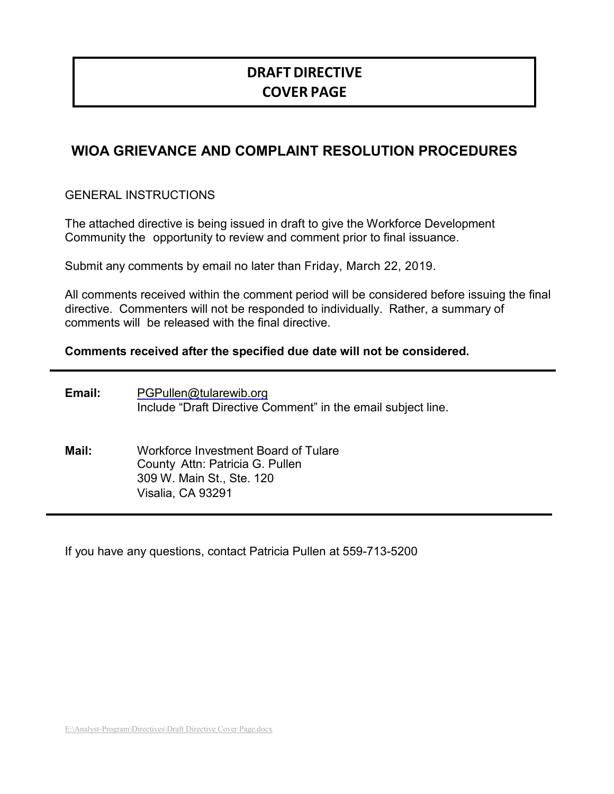# **DRAFTDIRECTIVE COVER PAGE**

# **WIOA GRIEVANCE AND COMPLAINT RESOLUTION PROCEDURES**

GENERAL INSTRUCTIONS

The attached directive is being issued in draft to give the Workforce Development Community the opportunity to review and comment prior to final issuance.

Submit any comments by email no later than Friday, March 22, 2019.

All comments received within the comment period will be considered before issuing the final directive. Commenters will not be responded to individually. Rather, a summary of comments will be released with the final directive.

#### **Comments received after the specified due date will not be considered.**

| Email: | PGPullen@tularewib.org<br>Include "Draft Directive Comment" in the email subject line.                                    |
|--------|---------------------------------------------------------------------------------------------------------------------------|
| Mail:  | Workforce Investment Board of Tulare<br>County Attn: Patricia G. Pullen<br>309 W. Main St., Ste. 120<br>Visalia, CA 93291 |

If you have any questions, contact Patricia Pullen at 559-713-5200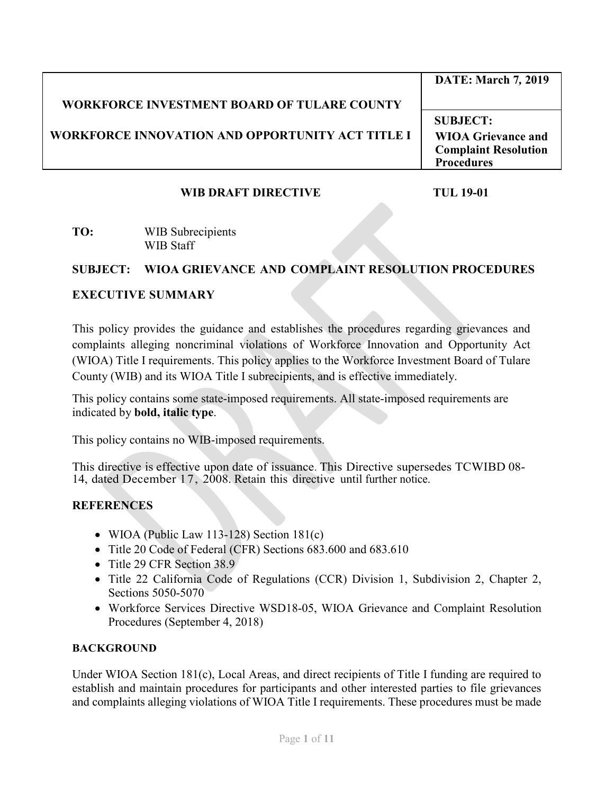|                                                         | <b>DATE: March 7, 2019</b>  |
|---------------------------------------------------------|-----------------------------|
| <b>WORKFORCE INVESTMENT BOARD OF TULARE COUNTY</b>      |                             |
|                                                         | <b>SUBJECT:</b>             |
| <b>WORKFORCE INNOVATION AND OPPORTUNITY ACT TITLE I</b> | <b>WIOA Grievance and</b>   |
|                                                         | <b>Complaint Resolution</b> |
|                                                         | <b>Procedures</b>           |

## **WIB DRAFT DIRECTIVE TUL 19-01**

#### **TO:** WIB Subrecipients WIB Staff

## **SUBJECT: WIOA GRIEVANCE AND COMPLAINT RESOLUTION PROCEDURES**

### **EXECUTIVE SUMMARY**

This policy provides the guidance and establishes the procedures regarding grievances and complaints alleging noncriminal violations of Workforce Innovation and Opportunity Act (WIOA) Title I requirements. This policy applies to the Workforce Investment Board of Tulare County (WIB) and its WIOA Title I subrecipients, and is effective immediately.

This policy contains some state-imposed requirements. All state-imposed requirements are indicated by **bold, italic type**.

This policy contains no WIB-imposed requirements.

This directive is effective upon date of issuance. This Directive supersedes TCWIBD 08- 14, dated December 17, 2008. Retain this directive until further notice.

## **REFERENCES**

- WIOA (Public Law 113-128) Section 181(c)
- Title 20 Code of Federal (CFR) Sections 683.600 and 683.610
- Title 29 CFR Section 38.9
- Title 22 California Code of Regulations (CCR) Division 1, Subdivision 2, Chapter 2, Sections 5050-5070
- Workforce Services Directive WSD18-05, WIOA Grievance and Complaint Resolution Procedures (September 4, 2018)

#### **BACKGROUND**

Under WIOA Section 181(c), Local Areas, and direct recipients of Title I funding are required to establish and maintain procedures for participants and other interested parties to file grievances and complaints alleging violations of WIOA Title I requirements. These procedures must be made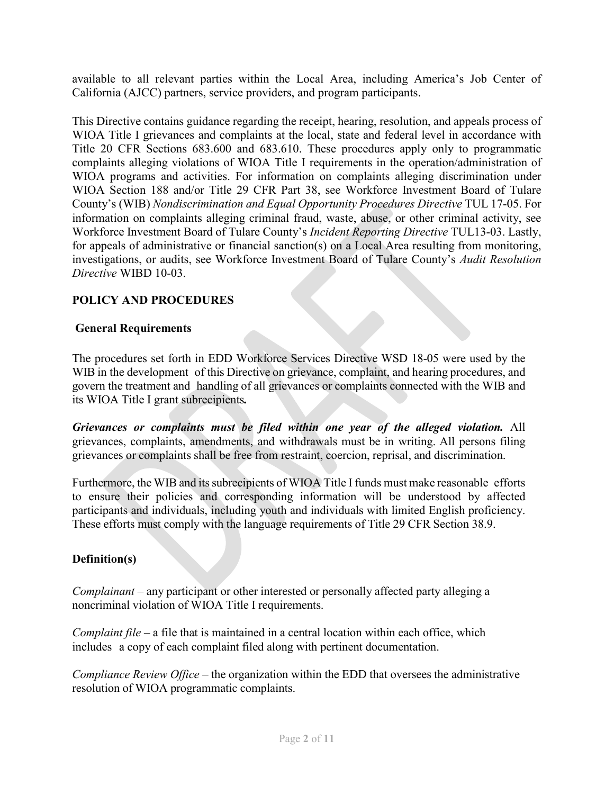available to all relevant parties within the Local Area, including America's Job Center of California (AJCC) partners, service providers, and program participants.

This Directive contains guidance regarding the receipt, hearing, resolution, and appeals process of WIOA Title I grievances and complaints at the local, state and federal level in accordance with Title 20 CFR Sections 683.600 and 683.610. These procedures apply only to programmatic complaints alleging violations of WIOA Title I requirements in the operation/administration of WIOA programs and activities. For information on complaints alleging discrimination under WIOA Section 188 and/or Title 29 CFR Part 38, see Workforce Investment Board of Tulare County's (WIB) *Nondiscrimination and Equal Opportunity Procedures Directive* TUL 17-05. For information on complaints alleging criminal fraud, waste, abuse, or other criminal activity, see Workforce Investment Board of Tulare County's *Incident Reporting Directive* TUL13-03. Lastly, for appeals of administrative or financial sanction(s) on a Local Area resulting from monitoring, investigations, or audits, see Workforce Investment Board of Tulare County's *Audit Resolution Directive* WIBD 10-03.

### **POLICY AND PROCEDURES**

#### **General Requirements**

The procedures set forth in EDD Workforce Services Directive WSD 18-05 were used by the WIB in the development of this Directive on grievance, complaint, and hearing procedures, and govern the treatment and handling of all grievances or complaints connected with the WIB and its WIOA Title I grant subrecipients*.*

*Grievances or complaints must be filed within one year of the alleged violation.* All grievances, complaints, amendments, and withdrawals must be in writing. All persons filing grievances or complaints shall be free from restraint, coercion, reprisal, and discrimination.

Furthermore, the WIB and its subrecipients of WIOA Title I funds must make reasonable efforts to ensure their policies and corresponding information will be understood by affected participants and individuals, including youth and individuals with limited English proficiency. These efforts must comply with the language requirements of Title 29 CFR Section 38.9.

#### **Definition(s)**

*Complainant* – any participant or other interested or personally affected party alleging a noncriminal violation of WIOA Title I requirements.

*Complaint file* – a file that is maintained in a central location within each office, which includes a copy of each complaint filed along with pertinent documentation.

*Compliance Review Office* – the organization within the EDD that oversees the administrative resolution of WIOA programmatic complaints.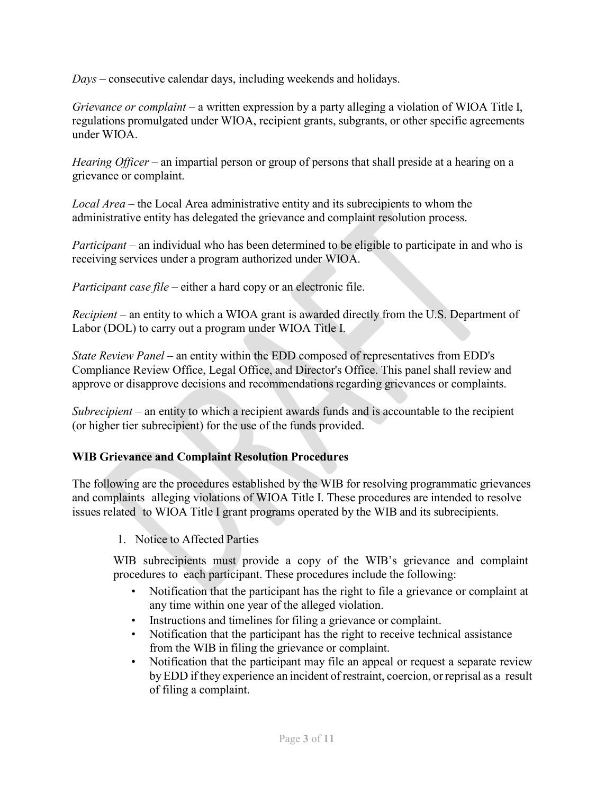*Days* – consecutive calendar days, including weekends and holidays.

*Grievance or complaint* – a written expression by a party alleging a violation of WIOA Title I, regulations promulgated under WIOA, recipient grants, subgrants, or other specific agreements under WIOA.

*Hearing Officer* – an impartial person or group of persons that shall preside at a hearing on a grievance or complaint.

*Local Area* – the Local Area administrative entity and its subrecipients to whom the administrative entity has delegated the grievance and complaint resolution process.

*Participant* – an individual who has been determined to be eligible to participate in and who is receiving services under a program authorized under WIOA.

*Participant case file* – either a hard copy or an electronic file.

*Recipient* – an entity to which a WIOA grant is awarded directly from the U.S. Department of Labor (DOL) to carry out a program under WIOA Title I.

*State Review Panel* – an entity within the EDD composed of representatives from EDD's Compliance Review Office, Legal Office, and Director's Office. This panel shall review and approve or disapprove decisions and recommendations regarding grievances or complaints.

*Subrecipient* – an entity to which a recipient awards funds and is accountable to the recipient (or higher tier subrecipient) for the use of the funds provided.

## **WIB Grievance and Complaint Resolution Procedures**

The following are the procedures established by the WIB for resolving programmatic grievances and complaints alleging violations of WIOA Title I. These procedures are intended to resolve issues related to WIOA Title I grant programs operated by the WIB and its subrecipients.

1. Notice to Affected Parties

WIB subrecipients must provide a copy of the WIB's grievance and complaint procedures to each participant. These procedures include the following:

- Notification that the participant has the right to file a grievance or complaint at any time within one year of the alleged violation.
- Instructions and timelines for filing a grievance or complaint.
- Notification that the participant has the right to receive technical assistance from the WIB in filing the grievance or complaint.
- Notification that the participant may file an appeal or request a separate review by EDD if they experience an incident of restraint, coercion, or reprisal as a result of filing a complaint.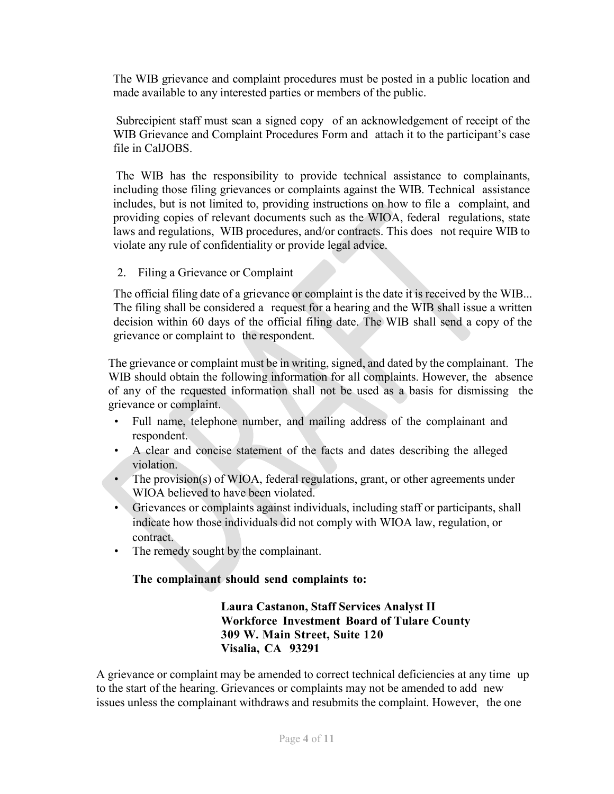The WIB grievance and complaint procedures must be posted in a public location and made available to any interested parties or members of the public.

Subrecipient staff must scan a signed copy of an acknowledgement of receipt of the WIB Grievance and Complaint Procedures Form and attach it to the participant's case file in CalJOBS.

The WIB has the responsibility to provide technical assistance to complainants, including those filing grievances or complaints against the WIB. Technical assistance includes, but is not limited to, providing instructions on how to file a complaint, and providing copies of relevant documents such as the WIOA, federal regulations, state laws and regulations, WIB procedures, and/or contracts. This does not require WIB to violate any rule of confidentiality or provide legal advice.

2. Filing a Grievance or Complaint

The official filing date of a grievance or complaint is the date it is received by the WIB... The filing shall be considered a request for a hearing and the WIB shall issue a written decision within 60 days of the official filing date. The WIB shall send a copy of the grievance or complaint to the respondent.

The grievance or complaint must be in writing, signed, and dated by the complainant. The WIB should obtain the following information for all complaints. However, the absence of any of the requested information shall not be used as a basis for dismissing the grievance or complaint.

- Full name, telephone number, and mailing address of the complainant and respondent.
- A clear and concise statement of the facts and dates describing the alleged violation.
- The provision(s) of WIOA, federal regulations, grant, or other agreements under WIOA believed to have been violated.
- Grievances or complaints against individuals, including staff or participants, shall indicate how those individuals did not comply with WIOA law, regulation, or contract.
- The remedy sought by the complainant.

## **The complainant should send complaints to:**

**Laura Castanon, Staff Services Analyst II Workforce Investment Board of Tulare County 309 W. Main Street, Suite 120 Visalia, CA 93291**

A grievance or complaint may be amended to correct technical deficiencies at any time up to the start of the hearing. Grievances or complaints may not be amended to add new issues unless the complainant withdraws and resubmits the complaint. However, the one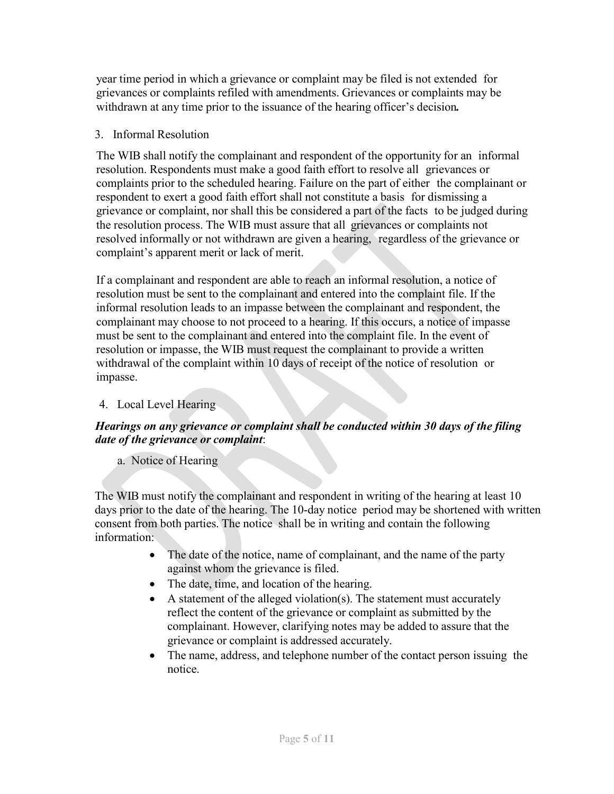year time period in which a grievance or complaint may be filed is not extended for grievances or complaints refiled with amendments. Grievances or complaints may be withdrawn at any time prior to the issuance of the hearing officer's decision*.*

## 3. Informal Resolution

The WIB shall notify the complainant and respondent of the opportunity for an informal resolution. Respondents must make a good faith effort to resolve all grievances or complaints prior to the scheduled hearing. Failure on the part of either the complainant or respondent to exert a good faith effort shall not constitute a basis for dismissing a grievance or complaint, nor shall this be considered a part of the facts to be judged during the resolution process. The WIB must assure that all grievances or complaints not resolved informally or not withdrawn are given a hearing, regardless of the grievance or complaint's apparent merit or lack of merit.

If a complainant and respondent are able to reach an informal resolution, a notice of resolution must be sent to the complainant and entered into the complaint file. If the informal resolution leads to an impasse between the complainant and respondent, the complainant may choose to not proceed to a hearing. If this occurs, a notice of impasse must be sent to the complainant and entered into the complaint file. In the event of resolution or impasse, the WIB must request the complainant to provide a written withdrawal of the complaint within 10 days of receipt of the notice of resolution or impasse.

## 4. Local Level Hearing

## *Hearings on any grievance or complaint shall be conducted within 30 days of the filing date of the grievance or complaint*:

## a. Notice of Hearing

The WIB must notify the complainant and respondent in writing of the hearing at least 10 days prior to the date of the hearing. The 10-day notice period may be shortened with written consent from both parties. The notice shall be in writing and contain the following information:

- The date of the notice, name of complainant, and the name of the party against whom the grievance is filed.
- The date, time, and location of the hearing.
- A statement of the alleged violation(s). The statement must accurately reflect the content of the grievance or complaint as submitted by the complainant. However, clarifying notes may be added to assure that the grievance or complaint is addressed accurately.
- The name, address, and telephone number of the contact person issuing the notice.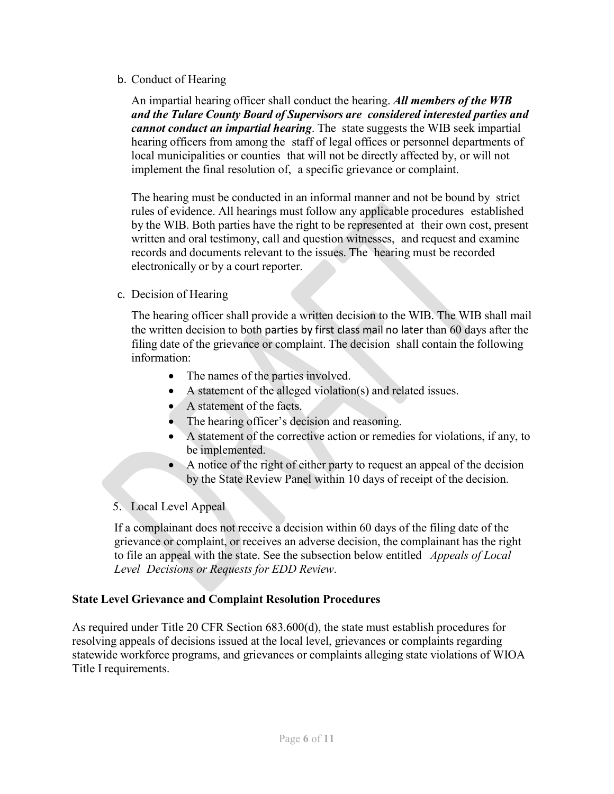#### b. Conduct of Hearing

An impartial hearing officer shall conduct the hearing. *All members of the WIB and the Tulare County Board of Supervisors are considered interested parties and cannot conduct an impartial hearing*. The state suggests the WIB seek impartial hearing officers from among the staff of legal offices or personnel departments of local municipalities or counties that will not be directly affected by, or will not implement the final resolution of, a specific grievance or complaint.

The hearing must be conducted in an informal manner and not be bound by strict rules of evidence. All hearings must follow any applicable procedures established by the WIB. Both parties have the right to be represented at their own cost, present written and oral testimony, call and question witnesses, and request and examine records and documents relevant to the issues. The hearing must be recorded electronically or by a court reporter.

### c. Decision of Hearing

The hearing officer shall provide a written decision to the WIB. The WIB shall mail the written decision to both parties by first class mail no later than 60 days after the filing date of the grievance or complaint. The decision shall contain the following information:

- The names of the parties involved.
- A statement of the alleged violation(s) and related issues.
- A statement of the facts.
- The hearing officer's decision and reasoning.
- A statement of the corrective action or remedies for violations, if any, to be implemented.
- A notice of the right of either party to request an appeal of the decision by the State Review Panel within 10 days of receipt of the decision.

## 5. Local Level Appeal

If a complainant does not receive a decision within 60 days of the filing date of the grievance or complaint, or receives an adverse decision, the complainant has the right to file an appeal with the state. See the subsection below entitled *Appeals of Local Level Decisions or Requests for EDD Review*.

#### **State Level Grievance and Complaint Resolution Procedures**

As required under Title 20 CFR Section 683.600(d), the state must establish procedures for resolving appeals of decisions issued at the local level, grievances or complaints regarding statewide workforce programs, and grievances or complaints alleging state violations of WIOA Title I requirements.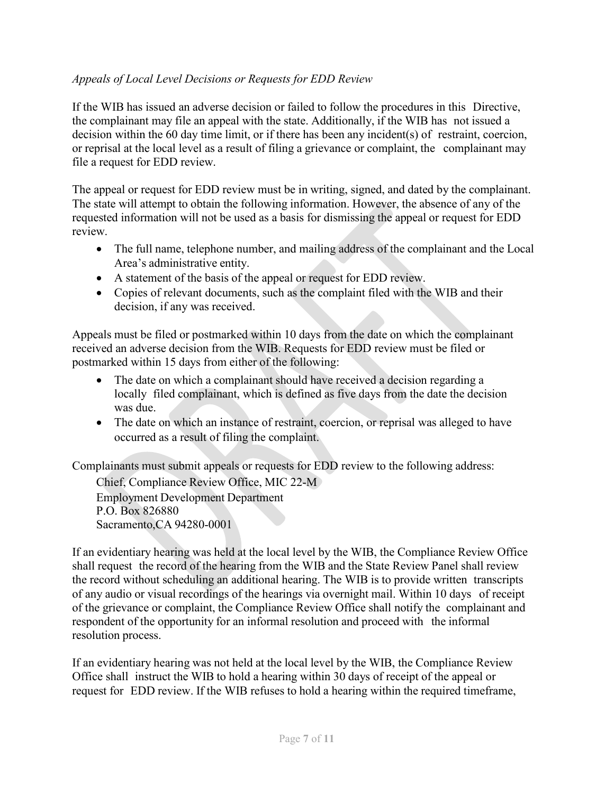## *Appeals of Local Level Decisions or Requests for EDD Review*

If the WIB has issued an adverse decision or failed to follow the procedures in this Directive, the complainant may file an appeal with the state. Additionally, if the WIB has not issued a decision within the 60 day time limit, or if there has been any incident(s) of restraint, coercion, or reprisal at the local level as a result of filing a grievance or complaint, the complainant may file a request for EDD review.

The appeal or request for EDD review must be in writing, signed, and dated by the complainant. The state will attempt to obtain the following information. However, the absence of any of the requested information will not be used as a basis for dismissing the appeal or request for EDD review.

- The full name, telephone number, and mailing address of the complainant and the Local Area's administrative entity.
- A statement of the basis of the appeal or request for EDD review.
- Copies of relevant documents, such as the complaint filed with the WIB and their decision, if any was received.

Appeals must be filed or postmarked within 10 days from the date on which the complainant received an adverse decision from the WIB. Requests for EDD review must be filed or postmarked within 15 days from either of the following:

- The date on which a complainant should have received a decision regarding a locally filed complainant, which is defined as five days from the date the decision was due.
- The date on which an instance of restraint, coercion, or reprisal was alleged to have occurred as a result of filing the complaint.

Complainants must submit appeals or requests for EDD review to the following address:

Chief, Compliance Review Office, MIC 22-M Employment Development Department P.O. Box 826880 Sacramento,CA 94280-0001

If an evidentiary hearing was held at the local level by the WIB, the Compliance Review Office shall request the record of the hearing from the WIB and the State Review Panel shall review the record without scheduling an additional hearing. The WIB is to provide written transcripts of any audio or visual recordings of the hearings via overnight mail. Within 10 days of receipt of the grievance or complaint, the Compliance Review Office shall notify the complainant and respondent of the opportunity for an informal resolution and proceed with the informal resolution process.

If an evidentiary hearing was not held at the local level by the WIB, the Compliance Review Office shall instruct the WIB to hold a hearing within 30 days of receipt of the appeal or request for EDD review. If the WIB refuses to hold a hearing within the required timeframe,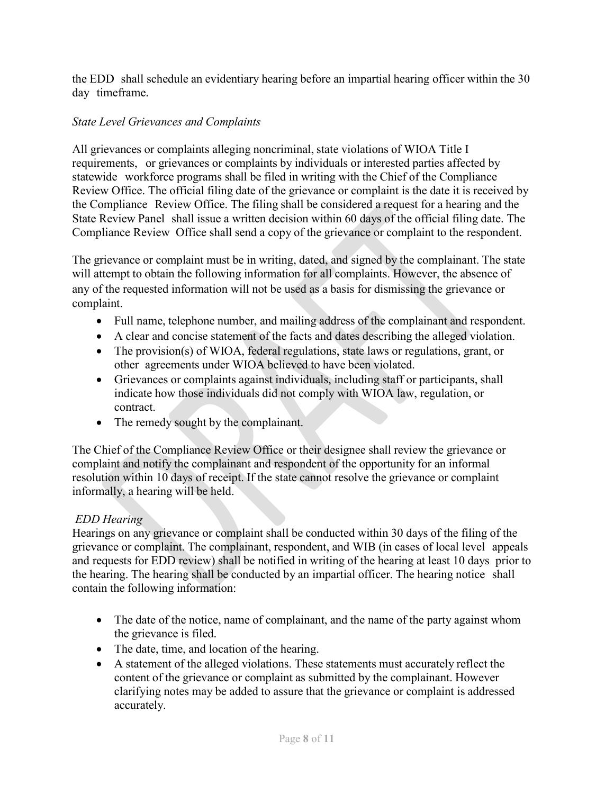the EDD shall schedule an evidentiary hearing before an impartial hearing officer within the 30 day timeframe.

## *State Level Grievances and Complaints*

All grievances or complaints alleging noncriminal, state violations of WIOA Title I requirements, or grievances or complaints by individuals or interested parties affected by statewide workforce programs shall be filed in writing with the Chief of the Compliance Review Office. The official filing date of the grievance or complaint is the date it is received by the Compliance Review Office. The filing shall be considered a request for a hearing and the State Review Panel shall issue a written decision within 60 days of the official filing date. The Compliance Review Office shall send a copy of the grievance or complaint to the respondent.

The grievance or complaint must be in writing, dated, and signed by the complainant. The state will attempt to obtain the following information for all complaints. However, the absence of any of the requested information will not be used as a basis for dismissing the grievance or complaint.

- Full name, telephone number, and mailing address of the complainant and respondent.
- A clear and concise statement of the facts and dates describing the alleged violation.
- The provision(s) of WIOA, federal regulations, state laws or regulations, grant, or other agreements under WIOA believed to have been violated.
- Grievances or complaints against individuals, including staff or participants, shall indicate how those individuals did not comply with WIOA law, regulation, or contract.
- The remedy sought by the complainant.

The Chief of the Compliance Review Office or their designee shall review the grievance or complaint and notify the complainant and respondent of the opportunity for an informal resolution within 10 days of receipt. If the state cannot resolve the grievance or complaint informally, a hearing will be held.

## *EDD Hearing*

Hearings on any grievance or complaint shall be conducted within 30 days of the filing of the grievance or complaint. The complainant, respondent, and WIB (in cases of local level appeals and requests for EDD review) shall be notified in writing of the hearing at least 10 days prior to the hearing. The hearing shall be conducted by an impartial officer. The hearing notice shall contain the following information:

- The date of the notice, name of complainant, and the name of the party against whom the grievance is filed.
- The date, time, and location of the hearing.
- A statement of the alleged violations. These statements must accurately reflect the content of the grievance or complaint as submitted by the complainant. However clarifying notes may be added to assure that the grievance or complaint is addressed accurately.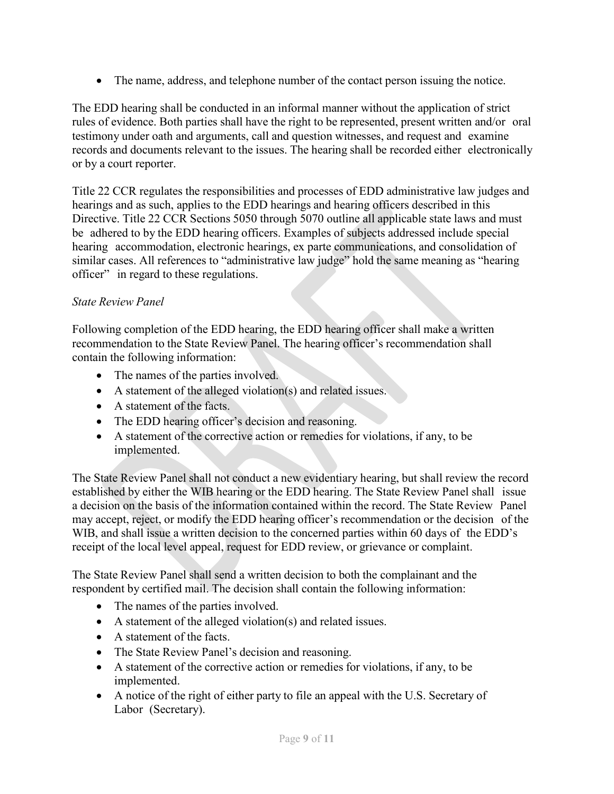• The name, address, and telephone number of the contact person issuing the notice.

The EDD hearing shall be conducted in an informal manner without the application of strict rules of evidence. Both parties shall have the right to be represented, present written and/or oral testimony under oath and arguments, call and question witnesses, and request and examine records and documents relevant to the issues. The hearing shall be recorded either electronically or by a court reporter.

Title 22 CCR regulates the responsibilities and processes of EDD administrative law judges and hearings and as such, applies to the EDD hearings and hearing officers described in this Directive. Title 22 CCR Sections 5050 through 5070 outline all applicable state laws and must be adhered to by the EDD hearing officers. Examples of subjects addressed include special hearing accommodation, electronic hearings, ex parte communications, and consolidation of similar cases. All references to "administrative law judge" hold the same meaning as "hearing officer" in regard to these regulations.

## *State Review Panel*

Following completion of the EDD hearing, the EDD hearing officer shall make a written recommendation to the State Review Panel. The hearing officer's recommendation shall contain the following information:

- The names of the parties involved.
- A statement of the alleged violation(s) and related issues.
- A statement of the facts.
- The EDD hearing officer's decision and reasoning.
- A statement of the corrective action or remedies for violations, if any, to be implemented.

The State Review Panel shall not conduct a new evidentiary hearing, but shall review the record established by either the WIB hearing or the EDD hearing. The State Review Panel shall issue a decision on the basis of the information contained within the record. The State Review Panel may accept, reject, or modify the EDD hearing officer's recommendation or the decision of the WIB, and shall issue a written decision to the concerned parties within 60 days of the EDD's receipt of the local level appeal, request for EDD review, or grievance or complaint.

The State Review Panel shall send a written decision to both the complainant and the respondent by certified mail. The decision shall contain the following information:

- The names of the parties involved.
- A statement of the alleged violation(s) and related issues.
- A statement of the facts.
- The State Review Panel's decision and reasoning.
- A statement of the corrective action or remedies for violations, if any, to be implemented.
- A notice of the right of either party to file an appeal with the U.S. Secretary of Labor (Secretary).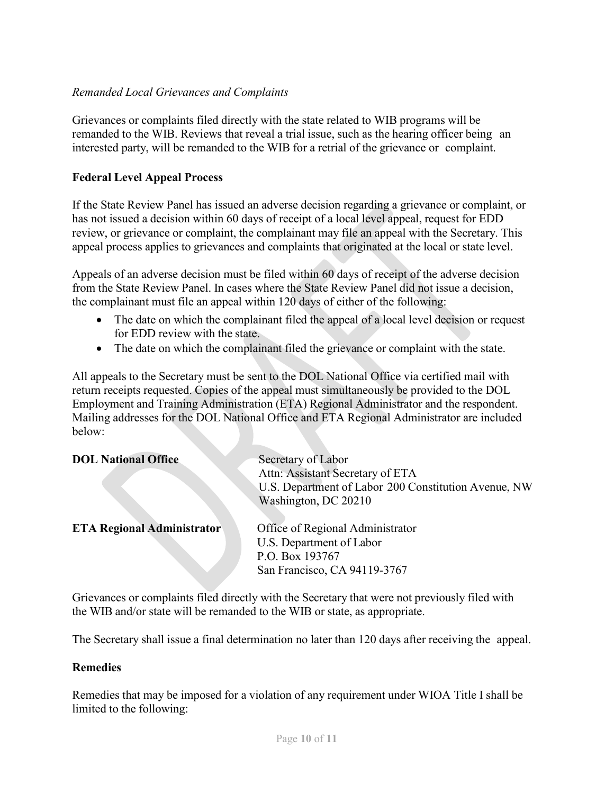#### *Remanded Local Grievances and Complaints*

Grievances or complaints filed directly with the state related to WIB programs will be remanded to the WIB. Reviews that reveal a trial issue, such as the hearing officer being an interested party, will be remanded to the WIB for a retrial of the grievance or complaint.

#### **Federal Level Appeal Process**

If the State Review Panel has issued an adverse decision regarding a grievance or complaint, or has not issued a decision within 60 days of receipt of a local level appeal, request for EDD review, or grievance or complaint, the complainant may file an appeal with the Secretary. This appeal process applies to grievances and complaints that originated at the local or state level.

Appeals of an adverse decision must be filed within 60 days of receipt of the adverse decision from the State Review Panel. In cases where the State Review Panel did not issue a decision, the complainant must file an appeal within 120 days of either of the following:

- The date on which the complainant filed the appeal of a local level decision or request for EDD review with the state.
- The date on which the complainant filed the grievance or complaint with the state.

All appeals to the Secretary must be sent to the DOL National Office via certified mail with return receipts requested. Copies of the appeal must simultaneously be provided to the DOL Employment and Training Administration (ETA) Regional Administrator and the respondent. Mailing addresses for the DOL National Office and ETA Regional Administrator are included below:

| <b>DOL National Office</b>        | Secretary of Labor<br>Attn: Assistant Secretary of ETA<br>U.S. Department of Labor 200 Constitution Avenue, NW<br>Washington, DC 20210 |
|-----------------------------------|----------------------------------------------------------------------------------------------------------------------------------------|
| <b>ETA Regional Administrator</b> | Office of Regional Administrator<br>U.S. Department of Labor<br>P.O. Box 193767<br>San Francisco, CA 94119-3767                        |

Grievances or complaints filed directly with the Secretary that were not previously filed with the WIB and/or state will be remanded to the WIB or state, as appropriate.

The Secretary shall issue a final determination no later than 120 days after receiving the appeal.

#### **Remedies**

Remedies that may be imposed for a violation of any requirement under WIOA Title I shall be limited to the following: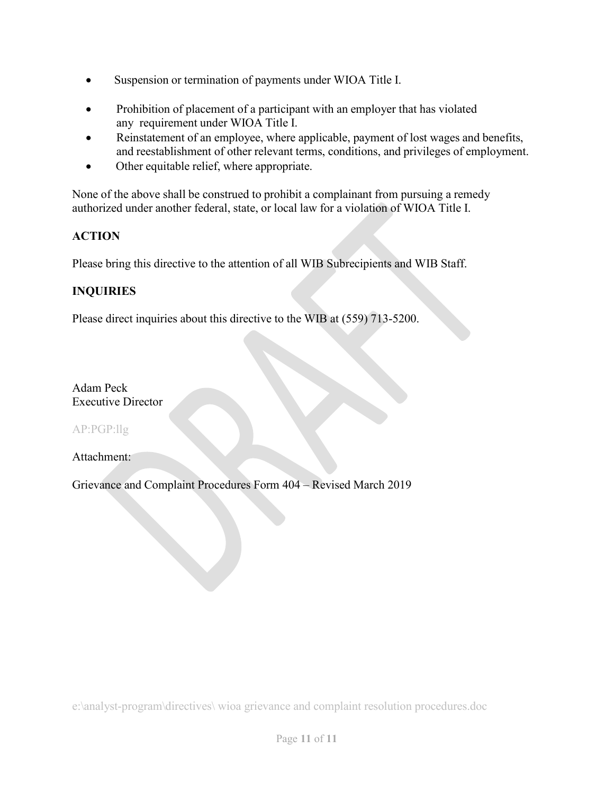- Suspension or termination of payments under WIOA Title I.
- Prohibition of placement of a participant with an employer that has violated any requirement under WIOA Title I.
- Reinstatement of an employee, where applicable, payment of lost wages and benefits, and reestablishment of other relevant terms, conditions, and privileges of employment.
- Other equitable relief, where appropriate.

None of the above shall be construed to prohibit a complainant from pursuing a remedy authorized under another federal, state, or local law for a violation of WIOA Title I.

## **ACTION**

Please bring this directive to the attention of all WIB Subrecipients and WIB Staff.

## **INQUIRIES**

Please direct inquiries about this directive to the WIB at (559) 713-5200.

Adam Peck Executive Director

AP:PGP:llg

Attachment:

Grievance and Complaint Procedures Form 404 – Revised March 2019

e:\analyst-program\directives\ wioa grievance and complaint resolution procedures.doc